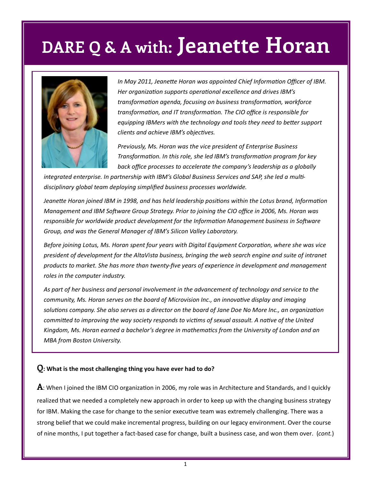# **DARE Q & A with: Jeanette Horan**



*In May 2011, Jeanette Horan was appointed Chief Information Officer of IBM. Her organization supports operational excellence and drives IBM's transformation agenda, focusing on business transformation, workforce transformation, and IT transformation. The CIO office is responsible for equipping IBMers with the technology and tools they need to better support clients and achieve IBM's objectives.* 

*Previously, Ms. Horan was the vice president of Enterprise Business Transformation. In this role, she led IBM's transformation program for key back office processes to accelerate the company's leadership as a globally* 

*integrated enterprise. In partnership with IBM's Global Business Services and SAP, she led a multidisciplinary global team deploying simplified business processes worldwide.* 

*Jeanette Horan joined IBM in 1998, and has held leadership positions within the Lotus brand, Information Management and IBM Software Group Strategy. Prior to joining the CIO office in 2006, Ms. Horan was responsible for worldwide product development for the Information Management business in Software Group, and was the General Manager of IBM's Silicon Valley Laboratory.* 

*Before joining Lotus, Ms. Horan spent four years with Digital Equipment Corporation, where she was vice president of development for the AltaVista business, bringing the web search engine and suite of intranet products to market. She has more than twenty-five years of experience in development and management roles in the computer industry.* 

*As part of her business and personal involvement in the advancement of technology and service to the community, Ms. Horan serves on the board of Microvision Inc., an innovative display and imaging solutions company. She also serves as a director on the board of Jane Doe No More Inc., an organization committed to improving the way society responds to victims of sexual assault. A native of the United Kingdom, Ms. Horan earned a bachelor's degree in mathematics from the University of London and an MBA from Boston University.*

#### **Q: What is the most challenging thing you have ever had to do?**

**A**: When I joined the IBM CIO organization in 2006, my role was in Architecture and Standards, and I quickly realized that we needed a completely new approach in order to keep up with the changing business strategy for IBM. Making the case for change to the senior executive team was extremely challenging. There was a strong belief that we could make incremental progress, building on our legacy environment. Over the course of nine months, I put together a fact-based case for change, built a business case, and won them over. (*cont.*)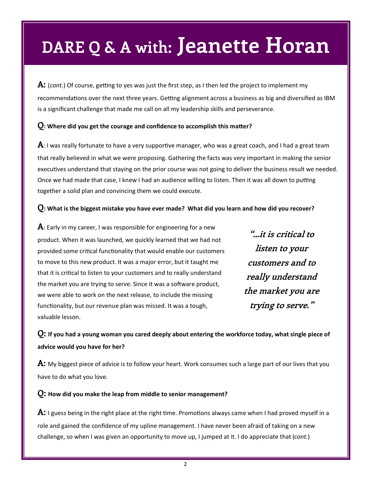# **DARE Q & A with: Jeanette Horan**

**A:** (*cont.*) Of course, getting to yes was just the first step, as I then led the project to implement my recommendations over the next three years. Getting alignment across a business as big and diversified as IBM is a significant challenge that made me call on all my leadership skills and perseverance.

### **Q: Where did you get the courage and confidence to accomplish this matter?**

**A**: I was really fortunate to have a very supportive manager, who was a great coach, and I had a great team that really believed in what we were proposing. Gathering the facts was very important in making the senior executives understand that staying on the prior course was not going to deliver the business result we needed. Once we had made that case, I knew I had an audience willing to listen. Then it was all down to putting together a solid plan and convincing them we could execute.

### **Q: What is the biggest mistake you have ever made? What did you learn and how did you recover?**

**A**: Early in my career, I was responsible for engineering for a new product. When it was launched, we quickly learned that we had not provided some critical functionality that would enable our customers to move to this new product. It was a major error, but it taught me that it is critical to listen to your customers and to really understand the market you are trying to serve. Since it was a software product, we were able to work on the next release, to include the missing functionality, but our revenue plan was missed. It was a tough, valuable lesson.

**"…it is critical to listen to your customers and to really understand the market you are trying to serve."**

**Q: If you had a young woman you cared deeply about entering the workforce today, what single piece of advice would you have for her?**

**A:** My biggest piece of advice is to follow your heart. Work consumes such a large part of our lives that you have to do what you love.

#### **Q: How did you make the leap from middle to senior management?**

**A:** I guess being in the right place at the right time. Promotions always came when I had proved myself in a role and gained the confidence of my upline management. I have never been afraid of taking on a new challenge, so when I was given an opportunity to move up, I jumped at it. I do appreciate that (*cont.*)